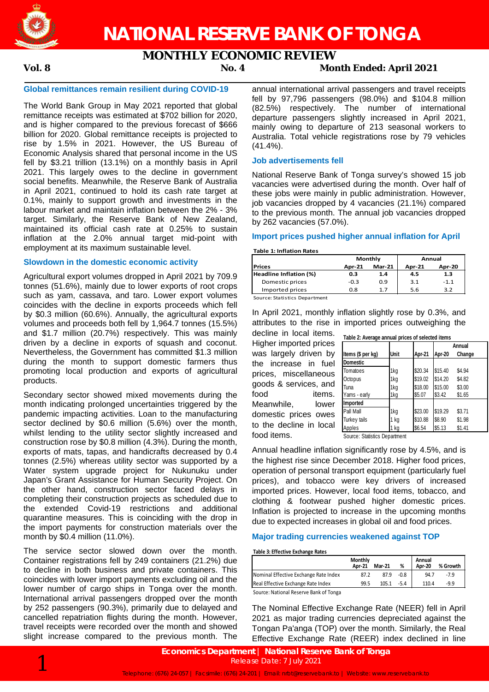

# **MONTHLY ECONOMIC REVIEW**

## **Vol. 8 No. 4 Month Ended: April 2021**

### **Global remittances remain resilient during COVID-19**

The World Bank Group in May 2021 reported that global remittance receipts was estimated at \$702 billion for 2020, and is higher compared to the previous forecast of \$666 billion for 2020. Global remittance receipts is projected to rise by 1.5% in 2021. However, the US Bureau of Economic Analysis shared that personal income in the US fell by \$3.21 trillion (13.1%) on a monthly basis in April 2021. This largely owes to the decline in government social benefits. Meanwhile, the Reserve Bank of Australia in April 2021, continued to hold its cash rate target at 0.1%, mainly to support growth and investments in the labour market and maintain inflation between the 2% - 3% target. Similarly, the Reserve Bank of New Zealand, maintained its official cash rate at 0.25% to sustain inflation at the 2.0% annual target mid-point with employment at its maximum sustainable level.

### **Slowdown in the domestic economic activity**

Agricultural export volumes dropped in April 2021 by 709.9 tonnes (51.6%), mainly due to lower exports of root crops such as yam, cassava, and taro. Lower export volumes coincides with the decline in exports proceeds which fell by \$0.3 million (60.6%). Annually, the agricultural exports volumes and proceeds both fell by 1,964.7 tonnes (15.5%) and \$1.7 million (20.7%) respectively. This was mainly driven by a decline in exports of squash and coconut. Nevertheless, the Government has committed \$1.3 million during the month to support domestic farmers thus promoting local production and exports of agricultural products.

Secondary sector showed mixed movements during the month indicating prolonged uncertainties triggered by the pandemic impacting activities. Loan to the manufacturing sector declined by \$0.6 million (5.6%) over the month, whilst lending to the utility sector slightly increased and construction rose by \$0.8 million (4.3%). During the month, exports of mats, tapas, and handicrafts decreased by 0.4 tonnes (2.5%) whereas utility sector was supported by a Water system upgrade project for Nukunuku under Japan's Grant Assistance for Human Security Project. On the other hand, construction sector faced delays in completing their construction projects as scheduled due to the extended Covid-19 restrictions and additional quarantine measures. This is coinciding with the drop in the import payments for construction materials over the month by \$0.4 million (11.0%).

The service sector slowed down over the month. Container registrations fell by 249 containers (21.2%) due to decline in both business and private containers. This coincides with lower import payments excluding oil and the lower number of cargo ships in Tonga over the month. International arrival passengers dropped over the month by 252 passengers (90.3%), primarily due to delayed and cancelled repatriation flights during the month. However, travel receipts were recorded over the month and showed slight increase compared to the previous month. The

annual international arrival passengers and travel receipts fell by 97,796 passengers (98.0%) and \$104.8 million (82.5%) respectively. The number of international departure passengers slightly increased in April 2021, mainly owing to departure of 213 seasonal workers to Australia. Total vehicle registrations rose by 79 vehicles (41.4%).

### **Job advertisements fell**

National Reserve Bank of Tonga survey's showed 15 job vacancies were advertised during the month. Over half of these jobs were mainly in public administration. However, job vacancies dropped by 4 vacancies (21.1%) compared to the previous month. The annual job vacancies dropped by 262 vacancies (57.0%).

### **Import prices pushed higher annual inflation for April**

### **Table 1: Inflation Rates**

|                        |               | Monthly  | Annual        |               |  |
|------------------------|---------------|----------|---------------|---------------|--|
| <b>IPrices</b>         | <b>Apr-21</b> | $Mar-21$ | <b>Apr-21</b> | <b>Apr-20</b> |  |
| Headline Inflation (%) | 0.3           | 1.4      | 4.5           | 1.3           |  |
| Domestic prices        | $-0.3$        | 0.9      | 3.1           | $-1.1$        |  |
| Imported prices        | 0.8           | 1.7      | 5.6           | 3.2           |  |

Source: Statistics Department

In April 2021, monthly inflation slightly rose by 0.3%, and attributes to the rise in imported prices outweighing the

decline in local items. Higher imported prices was largely driven by the increase in fuel prices, miscellaneous goods & services, and food items. Meanwhile, lower domestic prices owes to the decline in local food items.

| Table 2: Average annual prices of selected items |      |         |         |        |  |  |  |  |
|--------------------------------------------------|------|---------|---------|--------|--|--|--|--|
|                                                  |      |         | Annual  |        |  |  |  |  |
| Items (\$ per kg)                                | Unit | Apr-21  | Apr-20  | Change |  |  |  |  |
| <b>Domestic</b>                                  |      |         |         |        |  |  |  |  |
| Tomatoes                                         | 1kg  | \$20.34 | \$15.40 | \$4.94 |  |  |  |  |
| Octopus                                          | 1kg  | \$19.02 | \$14.20 | \$4.82 |  |  |  |  |
| Tuna                                             | 1kg  | \$18.00 | \$15.00 | \$3.00 |  |  |  |  |
| Yams - early                                     | 1kg  | \$5.07  | \$3.42  | \$1.65 |  |  |  |  |
| Imported                                         |      |         |         |        |  |  |  |  |
| Pall Mall                                        | 1kg  | \$23.00 | \$19.29 | \$3.71 |  |  |  |  |
| Turkey tails                                     | 1 kg | \$10.88 | \$8.90  | \$1.98 |  |  |  |  |
| Apples                                           | 1 kg | \$6.54  | \$5.13  | \$1.41 |  |  |  |  |

Source: Statistics Department

Annual headline inflation significantly rose by 4.5%, and is the highest rise since December 2018. Higher food prices, operation of personal transport equipment (particularly fuel prices), and tobacco were key drivers of increased imported prices. However, local food items, tobacco, and clothing & footwear pushed higher domestic prices. Inflation is projected to increase in the upcoming months due to expected increases in global oil and food prices.

### **Major trading currencies weakened against TOP**

### **Table 3: Effective Exchange Rates**

|                                        | Monthly<br>Apr-21 | <b>Mar-21</b> | %      | Annual<br><b>Apr-20</b> | % Growth |
|----------------------------------------|-------------------|---------------|--------|-------------------------|----------|
| Nominal Effective Exchange Rate Index  | 87.2              | 87.9          | $-0.8$ | 94.7                    | $-7.9$   |
| Real Effective Exchange Rate Index     | 99.5              | 105.1         | $-5.4$ | 110.4                   | -9.9     |
| Concert Mottowel Because Book of Texas |                   |               |        |                         |          |

Source: National Reserve Bank of Tonga

The Nominal Effective Exchange Rate (NEER) fell in April 2021 as major trading currencies depreciated against the Tongan Pa'anga (TOP) over the month. Similarly, the Real Effective Exchange Rate (REER) index declined in line

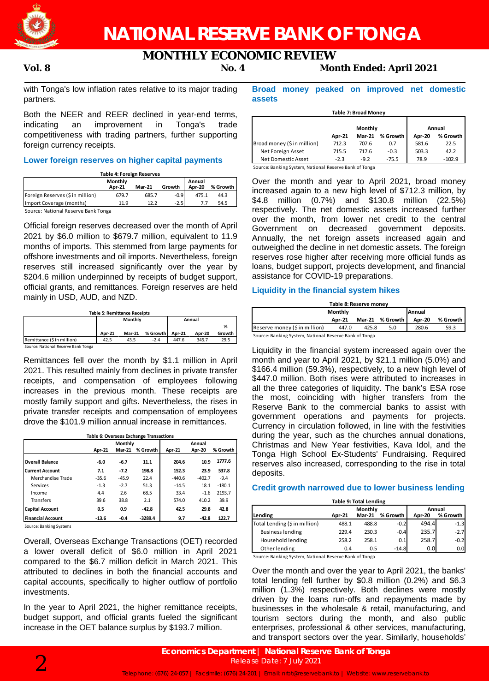

# **MONTHLY ECONOMIC REVIEW**

## **Vol. 8 No. 4 Month Ended: April 2021**

with Tonga's low inflation rates relative to its major trading partners.

Both the NEER and REER declined in year-end terms, indicating an improvement in Tonga's trade competitiveness with trading partners, further supporting foreign currency receipts.

### **Lower foreign reserves on higher capital payments**

**Table 4: Foreign Reserves**

|                                     | Monthly<br>Apr-21 | <b>Mar-21</b> | Growth | Annual<br><b>Apr-20</b> | % Growth |
|-------------------------------------|-------------------|---------------|--------|-------------------------|----------|
| Foreign Reserves (\$ in million)    | 679.7             | 685.7         | $-0.9$ | 475.1                   | 44.3     |
| Import Coverage (months)            | 11.9              | 12.2          | $-2.5$ |                         | 54.5     |
| Source: National Reserve Bank Tonga |                   |               |        |                         |          |

Official foreign reserves decreased over the month of April 2021 by \$6.0 million to \$679.7 million, equivalent to 11.9 months of imports. This stemmed from large payments for offshore investments and oil imports. Nevertheless, foreign

reserves still increased significantly over the year by \$204.6 million underpinned by receipts of budget support, official grants, and remittances. Foreign reserves are held mainly in USD, AUD, and NZD.

| <b>Table 5: Remittance Receipts</b> |        |               |          |               |        |        |
|-------------------------------------|--------|---------------|----------|---------------|--------|--------|
|                                     |        | Monthly       |          | Annual        |        |        |
|                                     |        |               |          |               |        | %      |
|                                     | Apr-21 | <b>Mar-21</b> | % Growth | <b>Apr-21</b> | Apr-20 | Growth |
| Remittance (\$ in million)          | 42.5   | 43.5          | $-2.4$   | 447.6         | 345.7  | 29.5   |
| Source: National Reserve Bank Tonga |        |               |          |               |        |        |

Remittances fell over the month by \$1.1 million in April 2021. This resulted mainly from declines in private transfer receipts, and compensation of employees following increases in the previous month. These receipts are mostly family support and gifts. Nevertheless, the rises in private transfer receipts and compensation of employees drove the \$101.9 million annual increase in remittances.

| Table 6: Overseas Exchange Transactions |         |               |           |          |               |          |  |
|-----------------------------------------|---------|---------------|-----------|----------|---------------|----------|--|
|                                         |         | Monthly       |           |          |               |          |  |
|                                         | Apr-21  | <b>Mar-21</b> | % Growth  | Apr-21   | <b>Apr-20</b> | % Growth |  |
| <b>Overall Balance</b>                  | $-6.0$  | $-6.7$        | 11.1      | 204.6    | 10.9          | 1777.6   |  |
| <b>Current Account</b>                  | 7.1     | $-7.2$        | 198.8     | 152.3    | 23.9          | 537.8    |  |
| Merchandise Trade                       | $-35.6$ | $-45.9$       | 22.4      | $-440.6$ | $-402.7$      | $-9.4$   |  |
| Services                                | $-1.3$  | $-2.7$        | 51.3      | $-14.5$  | 18.1          | $-180.1$ |  |
| Income                                  | 4.4     | 2.6           | 68.5      | 33.4     | $-1.6$        | 2193.7   |  |
| <b>Transfers</b>                        | 39.6    | 38.8          | 2.1       | 574.0    | 410.2         | 39.9     |  |
| <b>Capital Account</b>                  | 0.5     | 0.9           | $-42.8$   | 42.5     | 29.8          | 42.8     |  |
| <b>Financial Account</b>                | $-13.6$ | $-0.4$        | $-3289.4$ | 9.7      | $-42.8$       | 122.7    |  |

Source: Banking Systems

Overall, Overseas Exchange Transactions (OET) recorded a lower overall deficit of \$6.0 million in April 2021 compared to the \$6.7 million deficit in March 2021. This attributed to declines in both the financial accounts and capital accounts, specifically to higher outflow of portfolio investments.

In the year to April 2021, the higher remittance receipts, budget support, and official grants fueled the significant increase in the OET balance surplus by \$193.7 million.

### **Broad money peaked on improved net domestic assets**

| Table 7: Broad Money        |               |               |          |        |          |  |
|-----------------------------|---------------|---------------|----------|--------|----------|--|
|                             |               | Monthly       |          | Annual |          |  |
|                             | <b>Apr-21</b> | <b>Mar-21</b> | % Growth | Apr-20 | % Growth |  |
| Broad money (\$ in million) | 712.3         | 707.6         | 0.7      | 581.6  | 22.5     |  |
| Net Foreign Asset           | 715.5         | 717.6         | $-0.3$   | 503.3  | 42.2     |  |
| Net Domestic Asset          | $-2.3$        | $-9.2$        | $-75.5$  | 78.9   | $-102.9$ |  |

Source: Banking System, National Reserve Bank of Tonga

Over the month and year to April 2021, broad money increased again to a new high level of \$712.3 million, by \$4.8 million (0.7%) and \$130.8 million (22.5%) respectively. The net domestic assets increased further over the month, from lower net credit to the central Government on decreased government deposits. Annually, the net foreign assets increased again and outweighed the decline in net domestic assets. The foreign reserves rose higher after receiving more official funds as loans, budget support, projects development, and financial assistance for COVID-19 preparations.

### **Liquidity in the financial system hikes**

| Table 8: Reserve money        |               |       |                   |        |            |  |  |
|-------------------------------|---------------|-------|-------------------|--------|------------|--|--|
| <b>Monthly</b>                | <b>Annual</b> |       |                   |        |            |  |  |
|                               | <b>Apr-21</b> |       | Mar-21 % Growth I | Apr-20 | % Growth I |  |  |
| Reserve money (\$ in million) | 447.0         | 425.8 | 5.0               | 280.6  | 59.3       |  |  |
|                               |               |       |                   |        |            |  |  |

Source: Banking System, National Reserve Bank of Tonga

Liquidity in the financial system increased again over the month and year to April 2021, by \$21.1 million (5.0%) and \$166.4 million (59.3%), respectively, to a new high level of \$447.0 million. Both rises were attributed to increases in all the three categories of liquidity. The bank's ESA rose the most, coinciding with higher transfers from the Reserve Bank to the commercial banks to assist with government operations and payments for projects. Currency in circulation followed, in line with the festivities during the year, such as the churches annual donations, Christmas and New Year festivities, Kava Idol, and the Tonga High School Ex-Students' Fundraising. Required reserves also increased, corresponding to the rise in total deposits.

### **Credit growth narrowed due to lower business lending**

**Table 9: Total Lending**

|                               |               | Monthly       | Annual   |        |          |
|-------------------------------|---------------|---------------|----------|--------|----------|
| Lending                       | <b>Apr-21</b> | <b>Mar-21</b> | % Growth | Apr-20 | % Growth |
| Total Lending (\$ in million) | 488.1         | 488.8         | $-0.2$   | 494.4  | $-1.3$   |
| <b>Business lending</b>       | 229.4         | 230.3         | $-0.4$   | 235.7  | $-2.7$   |
| Household lending             | 258.2         | 258.1         | 0.1      | 258.7  | $-0.2$   |
| Other lending                 | 0.4           | 0.5           | $-14.8$  | 0.0    | 0.0      |

Source: Banking System, National Reserve Bank of Tonga

Over the month and over the year to April 2021, the banks' total lending fell further by \$0.8 million (0.2%) and \$6.3 million (1.3%) respectively. Both declines were mostly driven by the loans run-offs and repayments made by businesses in the wholesale & retail, manufacturing, and tourism sectors during the month, and also public enterprises, professional & other services, manufacturing, and transport sectors over the year. Similarly, households'